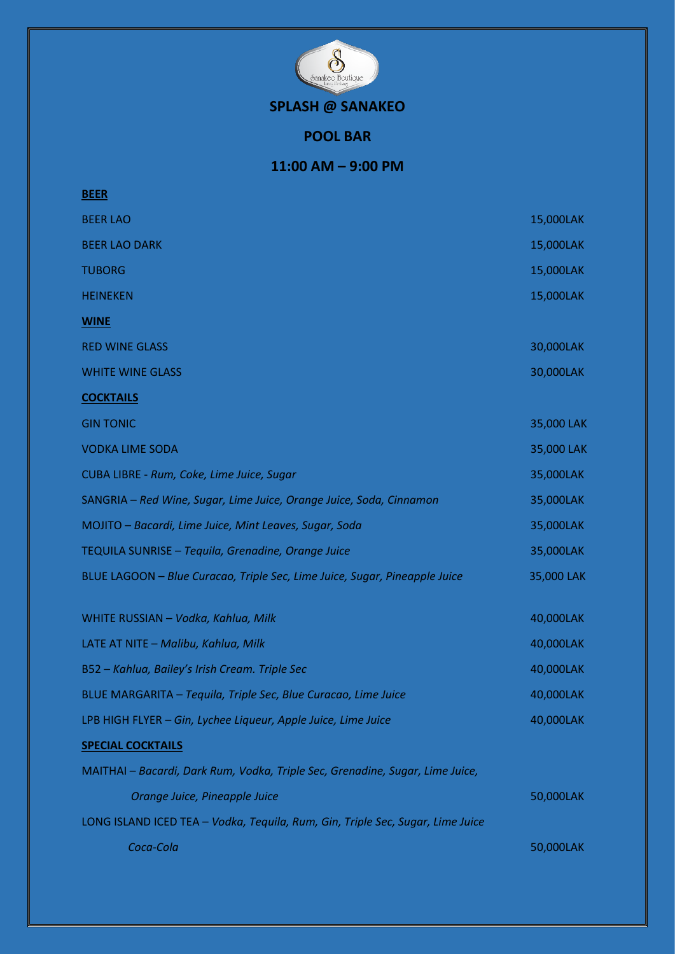

**SPLASH @ SANAKEO**

**POOL BAR**

**11:00 AM – 9:00 PM**

| <b>BEER</b>                                                                    |            |
|--------------------------------------------------------------------------------|------------|
| <b>BEER LAO</b>                                                                | 15,000LAK  |
| <b>BEER LAO DARK</b>                                                           | 15,000LAK  |
| <b>TUBORG</b>                                                                  | 15,000LAK  |
| <b>HEINEKEN</b>                                                                | 15,000LAK  |
| <b>WINE</b>                                                                    |            |
| <b>RED WINE GLASS</b>                                                          | 30,000LAK  |
| <b>WHITE WINE GLASS</b>                                                        | 30,000LAK  |
| <b>COCKTAILS</b>                                                               |            |
| <b>GIN TONIC</b>                                                               | 35,000 LAK |
| <b>VODKA LIME SODA</b>                                                         | 35,000 LAK |
| CUBA LIBRE - Rum, Coke, Lime Juice, Sugar                                      | 35,000LAK  |
| SANGRIA - Red Wine, Sugar, Lime Juice, Orange Juice, Soda, Cinnamon            | 35,000LAK  |
| MOJITO - Bacardi, Lime Juice, Mint Leaves, Sugar, Soda                         | 35,000LAK  |
| TEQUILA SUNRISE - Tequila, Grenadine, Orange Juice                             | 35,000LAK  |
| BLUE LAGOON - Blue Curacao, Triple Sec, Lime Juice, Sugar, Pineapple Juice     | 35,000 LAK |
| WHITE RUSSIAN - Vodka, Kahlua, Milk                                            | 40,000LAK  |
| LATE AT NITE - Malibu, Kahlua, Milk                                            | 40,000LAK  |
| B52 - Kahlua, Bailey's Irish Cream. Triple Sec                                 | 40,000LAK  |
| BLUE MARGARITA – Tequila, Triple Sec, Blue Curacao, Lime Juice                 | 40.000LAK  |
| LPB HIGH FLYER - Gin, Lychee Liqueur, Apple Juice, Lime Juice                  | 40,000LAK  |
| <b>SPECIAL COCKTAILS</b>                                                       |            |
| MAITHAI - Bacardi, Dark Rum, Vodka, Triple Sec, Grenadine, Sugar, Lime Juice,  |            |
| Orange Juice, Pineapple Juice                                                  | 50,000LAK  |
| LONG ISLAND ICED TEA - Vodka, Tequila, Rum, Gin, Triple Sec, Sugar, Lime Juice |            |
| Coca-Cola                                                                      | 50,000LAK  |